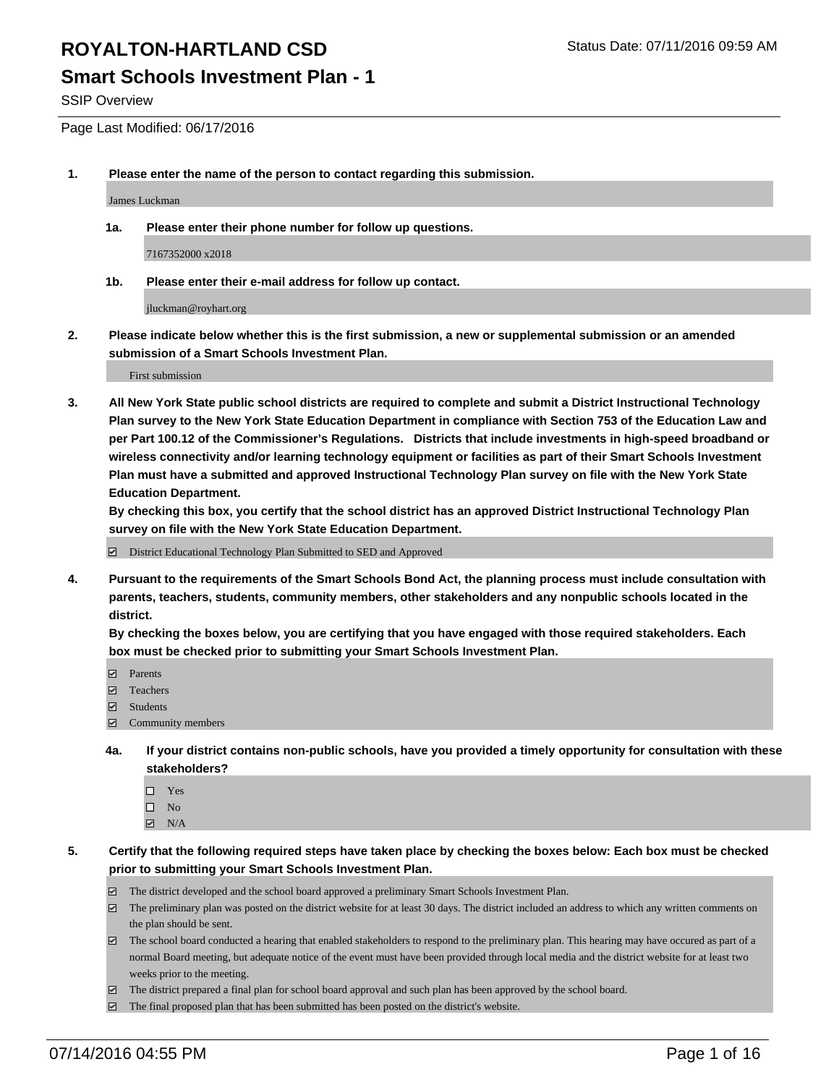## **Smart Schools Investment Plan - 1**

SSIP Overview

Page Last Modified: 06/17/2016

**1. Please enter the name of the person to contact regarding this submission.**

James Luckman

**1a. Please enter their phone number for follow up questions.**

7167352000 x2018

**1b. Please enter their e-mail address for follow up contact.**

jluckman@royhart.org

**2. Please indicate below whether this is the first submission, a new or supplemental submission or an amended submission of a Smart Schools Investment Plan.**

First submission

**3. All New York State public school districts are required to complete and submit a District Instructional Technology Plan survey to the New York State Education Department in compliance with Section 753 of the Education Law and per Part 100.12 of the Commissioner's Regulations. Districts that include investments in high-speed broadband or wireless connectivity and/or learning technology equipment or facilities as part of their Smart Schools Investment Plan must have a submitted and approved Instructional Technology Plan survey on file with the New York State Education Department.** 

**By checking this box, you certify that the school district has an approved District Instructional Technology Plan survey on file with the New York State Education Department.**

District Educational Technology Plan Submitted to SED and Approved

**4. Pursuant to the requirements of the Smart Schools Bond Act, the planning process must include consultation with parents, teachers, students, community members, other stakeholders and any nonpublic schools located in the district.** 

**By checking the boxes below, you are certifying that you have engaged with those required stakeholders. Each box must be checked prior to submitting your Smart Schools Investment Plan.**

- **Parents**
- Teachers
- $\blacksquare$  Students
- Community members
- **4a. If your district contains non-public schools, have you provided a timely opportunity for consultation with these stakeholders?**
	- $\Box$  Yes  $\square$  No
	- $\boxtimes$  N/A
- **5. Certify that the following required steps have taken place by checking the boxes below: Each box must be checked prior to submitting your Smart Schools Investment Plan.**
	- The district developed and the school board approved a preliminary Smart Schools Investment Plan.
	- $\Box$  The preliminary plan was posted on the district website for at least 30 days. The district included an address to which any written comments on the plan should be sent.
	- $\Box$  The school board conducted a hearing that enabled stakeholders to respond to the preliminary plan. This hearing may have occured as part of a normal Board meeting, but adequate notice of the event must have been provided through local media and the district website for at least two weeks prior to the meeting.
	- The district prepared a final plan for school board approval and such plan has been approved by the school board.
	- $\boxdot$  The final proposed plan that has been submitted has been posted on the district's website.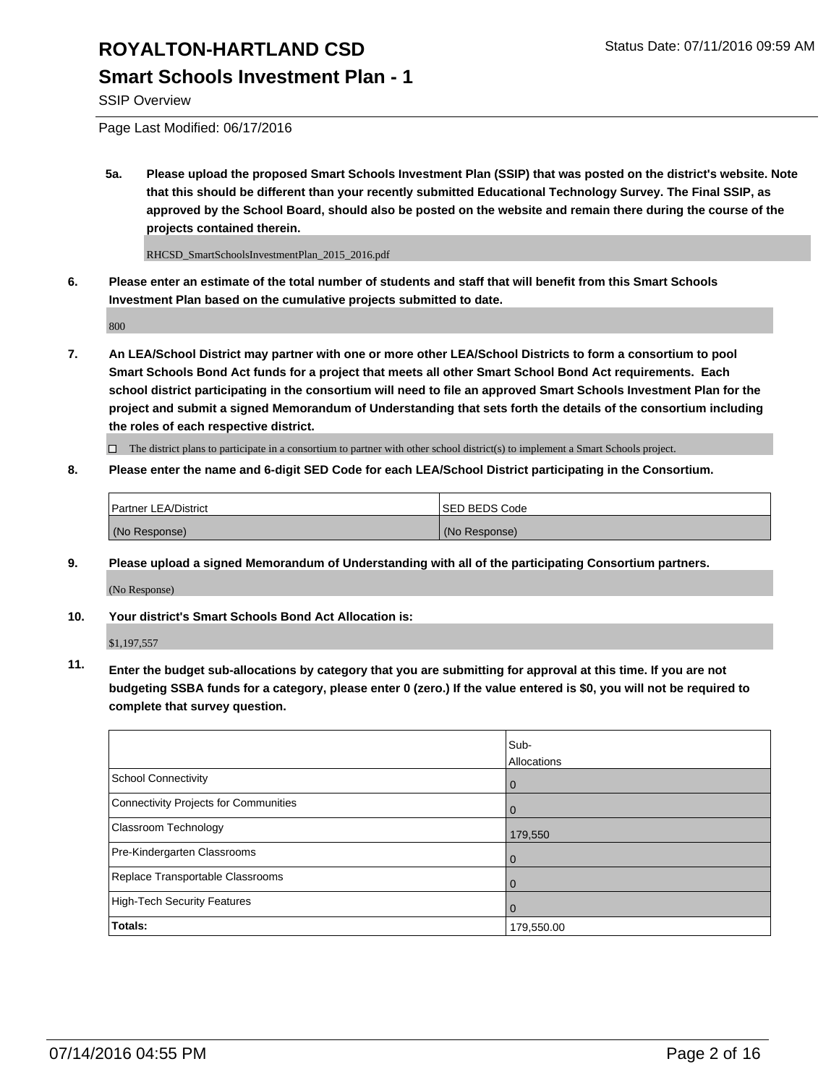### **Smart Schools Investment Plan - 1**

SSIP Overview

Page Last Modified: 06/17/2016

**5a. Please upload the proposed Smart Schools Investment Plan (SSIP) that was posted on the district's website. Note that this should be different than your recently submitted Educational Technology Survey. The Final SSIP, as approved by the School Board, should also be posted on the website and remain there during the course of the projects contained therein.**

RHCSD\_SmartSchoolsInvestmentPlan\_2015\_2016.pdf

**6. Please enter an estimate of the total number of students and staff that will benefit from this Smart Schools Investment Plan based on the cumulative projects submitted to date.**

800

**7. An LEA/School District may partner with one or more other LEA/School Districts to form a consortium to pool Smart Schools Bond Act funds for a project that meets all other Smart School Bond Act requirements. Each school district participating in the consortium will need to file an approved Smart Schools Investment Plan for the project and submit a signed Memorandum of Understanding that sets forth the details of the consortium including the roles of each respective district.**

 $\Box$  The district plans to participate in a consortium to partner with other school district(s) to implement a Smart Schools project.

**8. Please enter the name and 6-digit SED Code for each LEA/School District participating in the Consortium.**

| <b>Partner LEA/District</b> | ISED BEDS Code |
|-----------------------------|----------------|
| (No Response)               | (No Response)  |

**9. Please upload a signed Memorandum of Understanding with all of the participating Consortium partners.** (No Response)

**10. Your district's Smart Schools Bond Act Allocation is:**

\$1,197,557

**11. Enter the budget sub-allocations by category that you are submitting for approval at this time. If you are not budgeting SSBA funds for a category, please enter 0 (zero.) If the value entered is \$0, you will not be required to complete that survey question.**

|                                       | Sub-<br>Allocations |
|---------------------------------------|---------------------|
|                                       |                     |
| <b>School Connectivity</b>            | 0                   |
| Connectivity Projects for Communities | $\Omega$            |
| Classroom Technology                  | 179,550             |
| Pre-Kindergarten Classrooms           | $\Omega$            |
| Replace Transportable Classrooms      | $\Omega$            |
| High-Tech Security Features           | $\Omega$            |
| Totals:                               | 179,550.00          |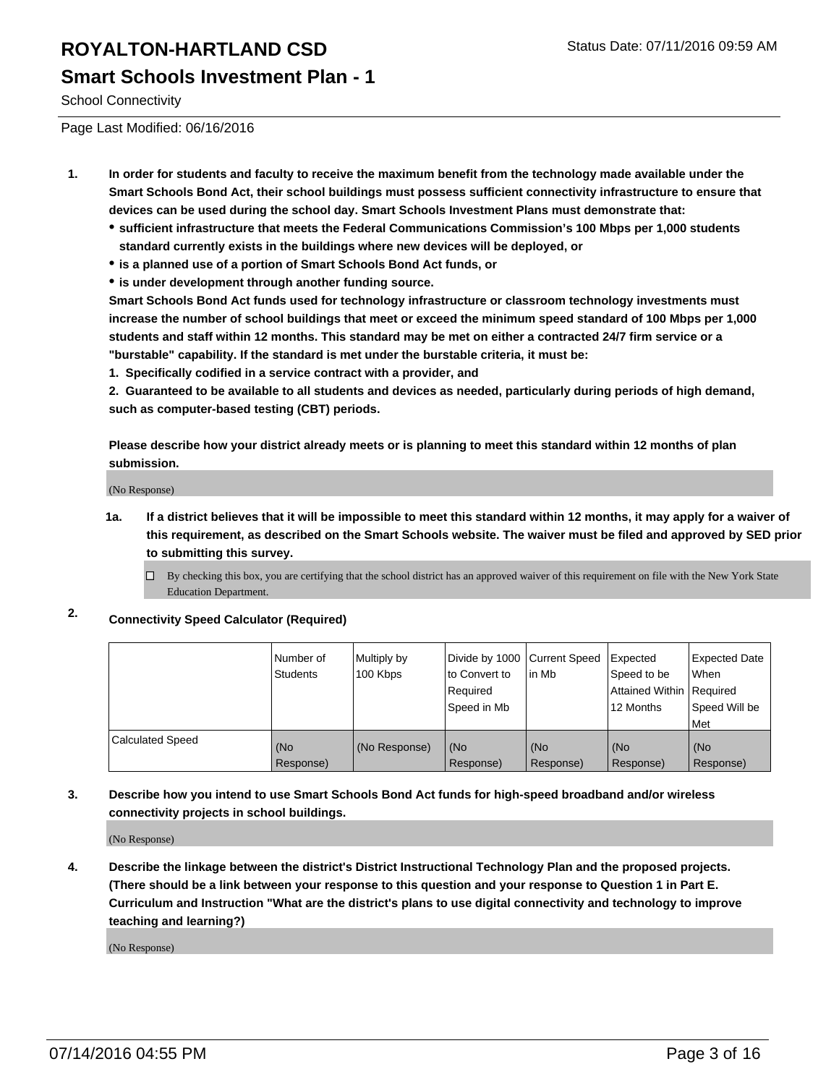School Connectivity

Page Last Modified: 06/16/2016

- **1. In order for students and faculty to receive the maximum benefit from the technology made available under the Smart Schools Bond Act, their school buildings must possess sufficient connectivity infrastructure to ensure that devices can be used during the school day. Smart Schools Investment Plans must demonstrate that:**
	- **sufficient infrastructure that meets the Federal Communications Commission's 100 Mbps per 1,000 students standard currently exists in the buildings where new devices will be deployed, or**
	- **is a planned use of a portion of Smart Schools Bond Act funds, or**
	- **is under development through another funding source.**

**Smart Schools Bond Act funds used for technology infrastructure or classroom technology investments must increase the number of school buildings that meet or exceed the minimum speed standard of 100 Mbps per 1,000 students and staff within 12 months. This standard may be met on either a contracted 24/7 firm service or a "burstable" capability. If the standard is met under the burstable criteria, it must be:**

**1. Specifically codified in a service contract with a provider, and**

**2. Guaranteed to be available to all students and devices as needed, particularly during periods of high demand, such as computer-based testing (CBT) periods.**

**Please describe how your district already meets or is planning to meet this standard within 12 months of plan submission.**

(No Response)

- **1a. If a district believes that it will be impossible to meet this standard within 12 months, it may apply for a waiver of this requirement, as described on the Smart Schools website. The waiver must be filed and approved by SED prior to submitting this survey.**
	- $\Box$  By checking this box, you are certifying that the school district has an approved waiver of this requirement on file with the New York State Education Department.
- **2. Connectivity Speed Calculator (Required)**

|                         | Number of<br>Students | Multiply by<br>100 Kbps | Divide by 1000 Current Speed<br>to Convert to<br>Reauired<br>Speed in Mb | lin Mb           | Expected<br>Speed to be<br>Attained Within   Required<br>12 Months | Expected Date<br>l When<br>Speed Will be<br>l Met |
|-------------------------|-----------------------|-------------------------|--------------------------------------------------------------------------|------------------|--------------------------------------------------------------------|---------------------------------------------------|
| <b>Calculated Speed</b> | (No<br>Response)      | (No Response)           | (No<br>Response)                                                         | (No<br>Response) | (No<br>Response)                                                   | (No<br>Response)                                  |

#### **3. Describe how you intend to use Smart Schools Bond Act funds for high-speed broadband and/or wireless connectivity projects in school buildings.**

(No Response)

**4. Describe the linkage between the district's District Instructional Technology Plan and the proposed projects. (There should be a link between your response to this question and your response to Question 1 in Part E. Curriculum and Instruction "What are the district's plans to use digital connectivity and technology to improve teaching and learning?)**

(No Response)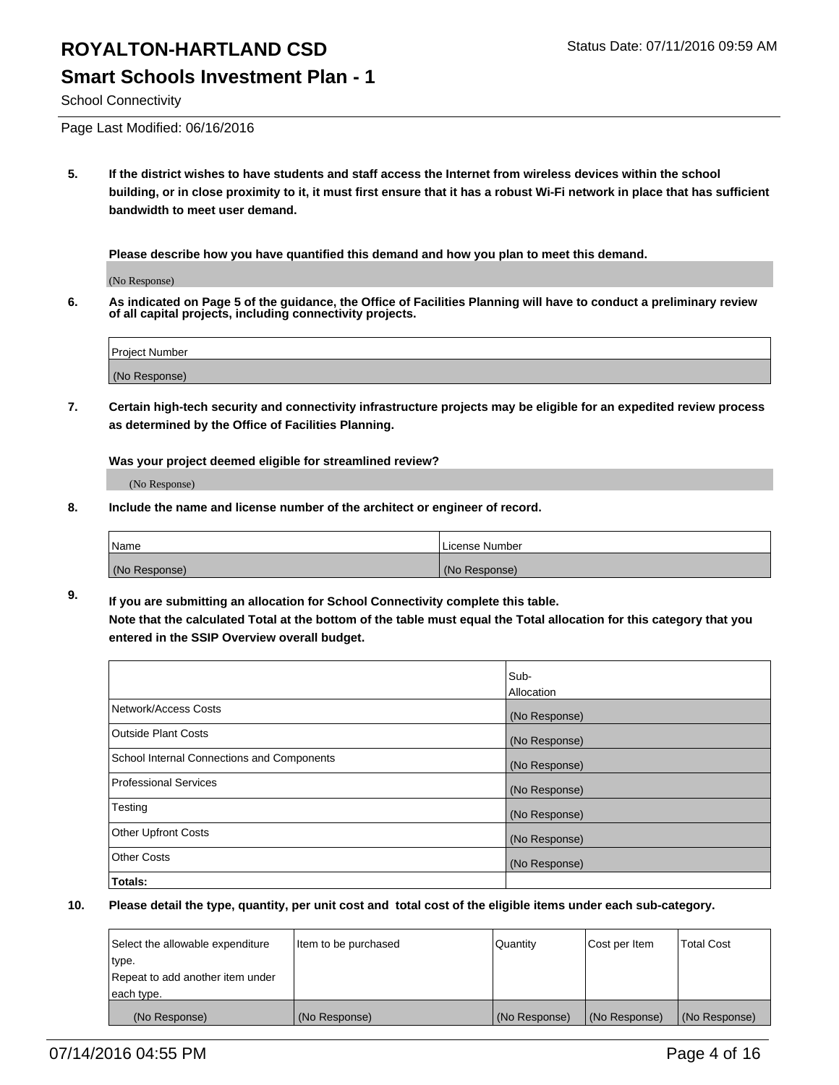## **Smart Schools Investment Plan - 1**

School Connectivity

Page Last Modified: 06/16/2016

**5. If the district wishes to have students and staff access the Internet from wireless devices within the school building, or in close proximity to it, it must first ensure that it has a robust Wi-Fi network in place that has sufficient bandwidth to meet user demand.**

**Please describe how you have quantified this demand and how you plan to meet this demand.**

(No Response)

**6. As indicated on Page 5 of the guidance, the Office of Facilities Planning will have to conduct a preliminary review of all capital projects, including connectivity projects.**

| Project Number |  |
|----------------|--|
|                |  |
| (No Response)  |  |

**7. Certain high-tech security and connectivity infrastructure projects may be eligible for an expedited review process as determined by the Office of Facilities Planning.**

**Was your project deemed eligible for streamlined review?**

(No Response)

**8. Include the name and license number of the architect or engineer of record.**

| <b>Name</b>   | License Number |
|---------------|----------------|
| (No Response) | (No Response)  |

**9. If you are submitting an allocation for School Connectivity complete this table. Note that the calculated Total at the bottom of the table must equal the Total allocation for this category that you entered in the SSIP Overview overall budget.** 

|                                            | Sub-          |
|--------------------------------------------|---------------|
|                                            | Allocation    |
| Network/Access Costs                       | (No Response) |
| <b>Outside Plant Costs</b>                 | (No Response) |
| School Internal Connections and Components | (No Response) |
| Professional Services                      | (No Response) |
| Testing                                    | (No Response) |
| <b>Other Upfront Costs</b>                 | (No Response) |
| <b>Other Costs</b>                         | (No Response) |
| Totals:                                    |               |

| Select the allowable expenditure | Item to be purchased | Quantity      | Cost per Item | <b>Total Cost</b> |
|----------------------------------|----------------------|---------------|---------------|-------------------|
| type.                            |                      |               |               |                   |
| Repeat to add another item under |                      |               |               |                   |
| each type.                       |                      |               |               |                   |
| (No Response)                    | (No Response)        | (No Response) | (No Response) | (No Response)     |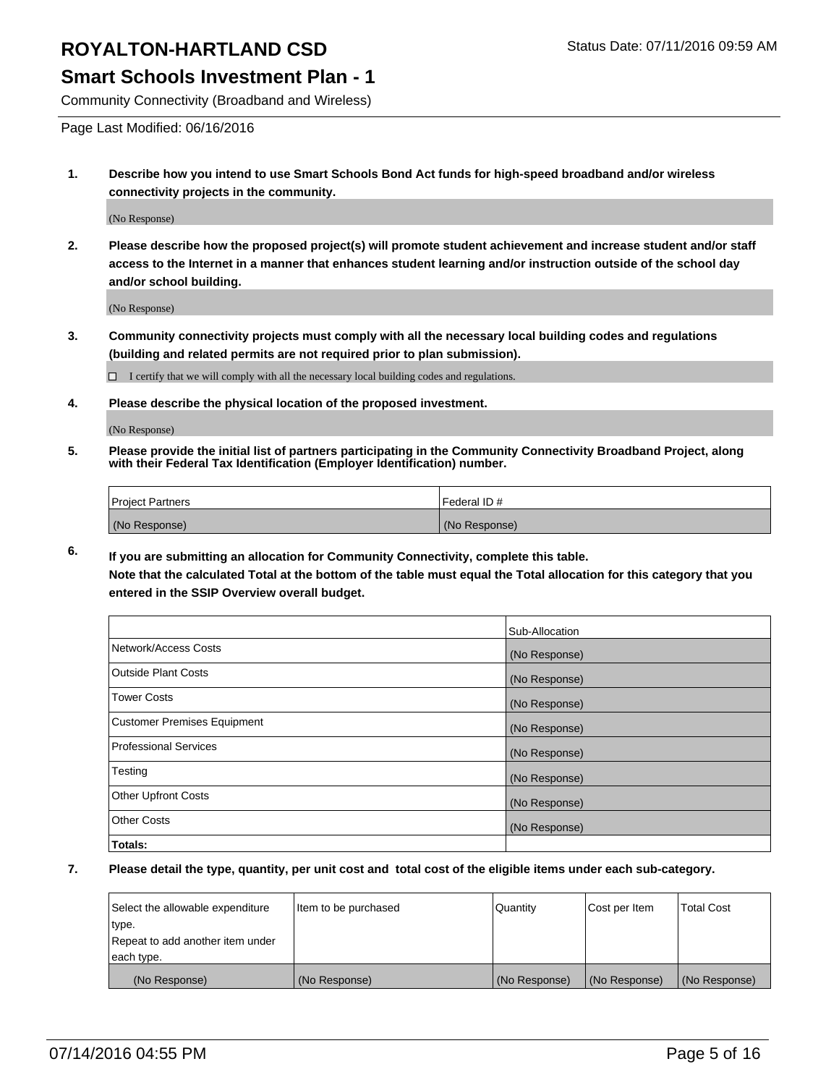### **Smart Schools Investment Plan - 1**

Community Connectivity (Broadband and Wireless)

Page Last Modified: 06/16/2016

**1. Describe how you intend to use Smart Schools Bond Act funds for high-speed broadband and/or wireless connectivity projects in the community.**

(No Response)

**2. Please describe how the proposed project(s) will promote student achievement and increase student and/or staff access to the Internet in a manner that enhances student learning and/or instruction outside of the school day and/or school building.**

(No Response)

**3. Community connectivity projects must comply with all the necessary local building codes and regulations (building and related permits are not required prior to plan submission).**

 $\Box$  I certify that we will comply with all the necessary local building codes and regulations.

**4. Please describe the physical location of the proposed investment.**

(No Response)

**5. Please provide the initial list of partners participating in the Community Connectivity Broadband Project, along with their Federal Tax Identification (Employer Identification) number.**

| Project Partners | I Federal ID # |
|------------------|----------------|
| (No Response)    | (No Response)  |

**6. If you are submitting an allocation for Community Connectivity, complete this table. Note that the calculated Total at the bottom of the table must equal the Total allocation for this category that you**

**entered in the SSIP Overview overall budget.**

|                             | Sub-Allocation |
|-----------------------------|----------------|
| Network/Access Costs        | (No Response)  |
| <b>Outside Plant Costs</b>  | (No Response)  |
| Tower Costs                 | (No Response)  |
| Customer Premises Equipment | (No Response)  |
| Professional Services       | (No Response)  |
| Testing                     | (No Response)  |
| <b>Other Upfront Costs</b>  | (No Response)  |
| Other Costs                 | (No Response)  |
| Totals:                     |                |

| Select the allowable expenditure | Item to be purchased | Quantity      | Cost per Item | <b>Total Cost</b> |
|----------------------------------|----------------------|---------------|---------------|-------------------|
| type.                            |                      |               |               |                   |
| Repeat to add another item under |                      |               |               |                   |
| each type.                       |                      |               |               |                   |
| (No Response)                    | (No Response)        | (No Response) | (No Response) | (No Response)     |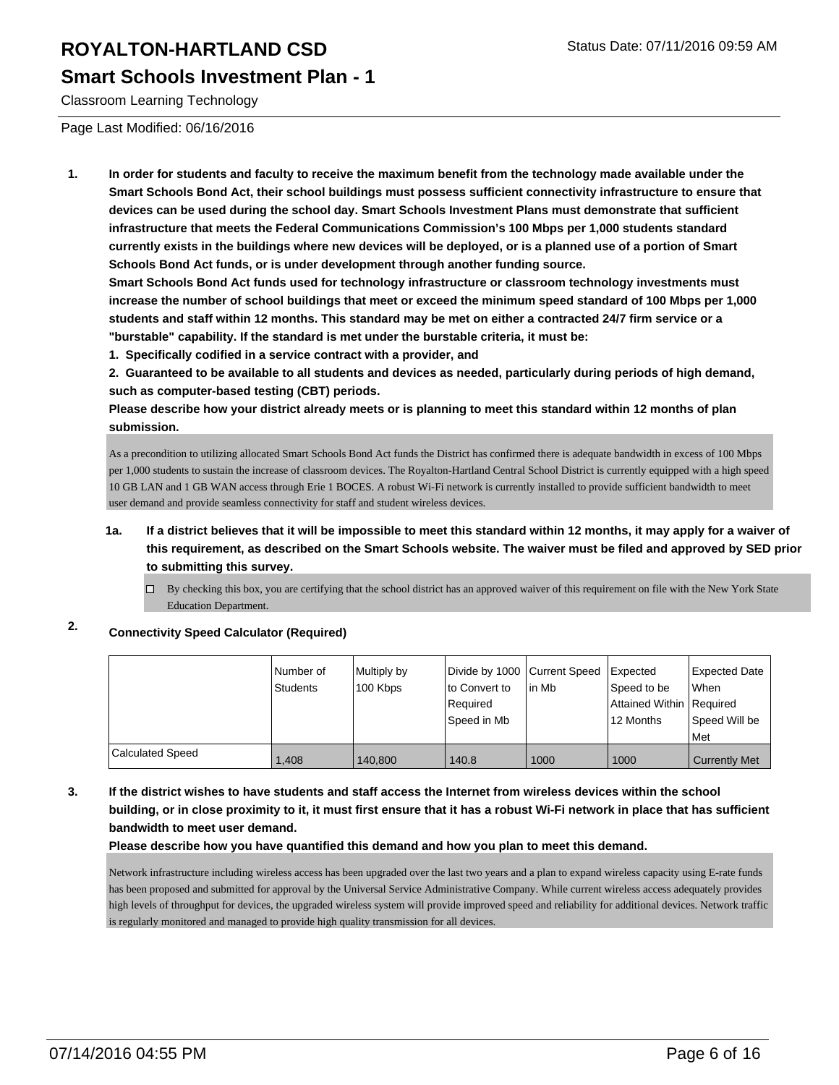### **Smart Schools Investment Plan - 1**

Classroom Learning Technology

Page Last Modified: 06/16/2016

**1. In order for students and faculty to receive the maximum benefit from the technology made available under the Smart Schools Bond Act, their school buildings must possess sufficient connectivity infrastructure to ensure that devices can be used during the school day. Smart Schools Investment Plans must demonstrate that sufficient infrastructure that meets the Federal Communications Commission's 100 Mbps per 1,000 students standard currently exists in the buildings where new devices will be deployed, or is a planned use of a portion of Smart Schools Bond Act funds, or is under development through another funding source.**

**Smart Schools Bond Act funds used for technology infrastructure or classroom technology investments must increase the number of school buildings that meet or exceed the minimum speed standard of 100 Mbps per 1,000 students and staff within 12 months. This standard may be met on either a contracted 24/7 firm service or a "burstable" capability. If the standard is met under the burstable criteria, it must be:**

**1. Specifically codified in a service contract with a provider, and**

**2. Guaranteed to be available to all students and devices as needed, particularly during periods of high demand, such as computer-based testing (CBT) periods.**

**Please describe how your district already meets or is planning to meet this standard within 12 months of plan submission.**

As a precondition to utilizing allocated Smart Schools Bond Act funds the District has confirmed there is adequate bandwidth in excess of 100 Mbps per 1,000 students to sustain the increase of classroom devices. The Royalton-Hartland Central School District is currently equipped with a high speed 10 GB LAN and 1 GB WAN access through Erie 1 BOCES. A robust Wi-Fi network is currently installed to provide sufficient bandwidth to meet user demand and provide seamless connectivity for staff and student wireless devices.

#### **1a. If a district believes that it will be impossible to meet this standard within 12 months, it may apply for a waiver of this requirement, as described on the Smart Schools website. The waiver must be filed and approved by SED prior to submitting this survey.**

 $\Box$  By checking this box, you are certifying that the school district has an approved waiver of this requirement on file with the New York State Education Department.

**2. Connectivity Speed Calculator (Required)**

|                  | Number of<br><b>Students</b> | Multiply by<br>100 Kbps | Divide by 1000 Current Speed<br>to Convert to<br>Required | lin Mb | <b>Expected</b><br>Speed to be<br>Attained Within   Required | <b>Expected Date</b><br>l When |
|------------------|------------------------------|-------------------------|-----------------------------------------------------------|--------|--------------------------------------------------------------|--------------------------------|
|                  |                              |                         | Speed in Mb                                               |        | 12 Months                                                    | Speed Will be<br>Met           |
| Calculated Speed | 1,408                        | 140.800                 | 140.8                                                     | 1000   | 1000                                                         | Currently Met                  |

#### **3. If the district wishes to have students and staff access the Internet from wireless devices within the school building, or in close proximity to it, it must first ensure that it has a robust Wi-Fi network in place that has sufficient bandwidth to meet user demand.**

**Please describe how you have quantified this demand and how you plan to meet this demand.**

Network infrastructure including wireless access has been upgraded over the last two years and a plan to expand wireless capacity using E-rate funds has been proposed and submitted for approval by the Universal Service Administrative Company. While current wireless access adequately provides high levels of throughput for devices, the upgraded wireless system will provide improved speed and reliability for additional devices. Network traffic is regularly monitored and managed to provide high quality transmission for all devices.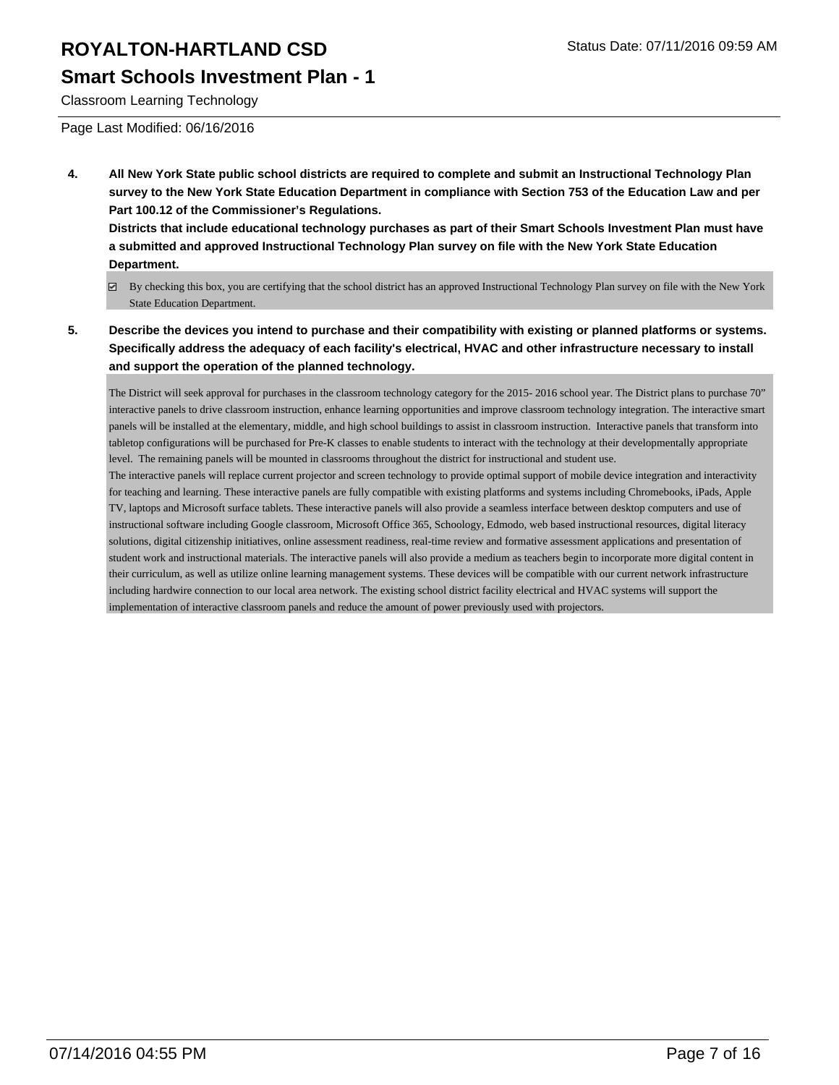### **Smart Schools Investment Plan - 1**

Classroom Learning Technology

Page Last Modified: 06/16/2016

**4. All New York State public school districts are required to complete and submit an Instructional Technology Plan survey to the New York State Education Department in compliance with Section 753 of the Education Law and per Part 100.12 of the Commissioner's Regulations.**

**Districts that include educational technology purchases as part of their Smart Schools Investment Plan must have a submitted and approved Instructional Technology Plan survey on file with the New York State Education Department.**

- By checking this box, you are certifying that the school district has an approved Instructional Technology Plan survey on file with the New York State Education Department.
- **5. Describe the devices you intend to purchase and their compatibility with existing or planned platforms or systems. Specifically address the adequacy of each facility's electrical, HVAC and other infrastructure necessary to install and support the operation of the planned technology.**

The District will seek approval for purchases in the classroom technology category for the 2015- 2016 school year. The District plans to purchase 70" interactive panels to drive classroom instruction, enhance learning opportunities and improve classroom technology integration. The interactive smart panels will be installed at the elementary, middle, and high school buildings to assist in classroom instruction. Interactive panels that transform into tabletop configurations will be purchased for Pre-K classes to enable students to interact with the technology at their developmentally appropriate level. The remaining panels will be mounted in classrooms throughout the district for instructional and student use.

The interactive panels will replace current projector and screen technology to provide optimal support of mobile device integration and interactivity for teaching and learning. These interactive panels are fully compatible with existing platforms and systems including Chromebooks, iPads, Apple TV, laptops and Microsoft surface tablets. These interactive panels will also provide a seamless interface between desktop computers and use of instructional software including Google classroom, Microsoft Office 365, Schoology, Edmodo, web based instructional resources, digital literacy solutions, digital citizenship initiatives, online assessment readiness, real-time review and formative assessment applications and presentation of student work and instructional materials. The interactive panels will also provide a medium as teachers begin to incorporate more digital content in their curriculum, as well as utilize online learning management systems. These devices will be compatible with our current network infrastructure including hardwire connection to our local area network. The existing school district facility electrical and HVAC systems will support the implementation of interactive classroom panels and reduce the amount of power previously used with projectors.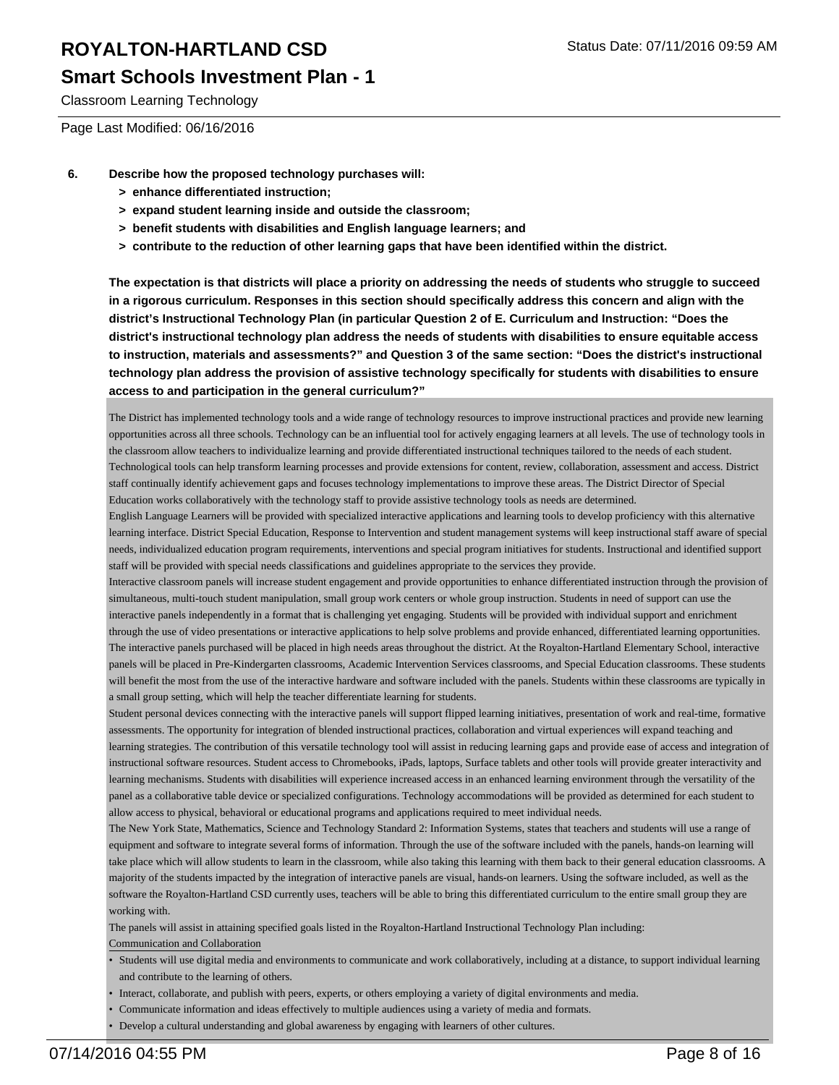### **Smart Schools Investment Plan - 1**

Classroom Learning Technology

Page Last Modified: 06/16/2016

- **6. Describe how the proposed technology purchases will:**
	- **> enhance differentiated instruction;**
	- **> expand student learning inside and outside the classroom;**
	- **> benefit students with disabilities and English language learners; and**
	- **> contribute to the reduction of other learning gaps that have been identified within the district.**

**The expectation is that districts will place a priority on addressing the needs of students who struggle to succeed in a rigorous curriculum. Responses in this section should specifically address this concern and align with the district's Instructional Technology Plan (in particular Question 2 of E. Curriculum and Instruction: "Does the district's instructional technology plan address the needs of students with disabilities to ensure equitable access to instruction, materials and assessments?" and Question 3 of the same section: "Does the district's instructional technology plan address the provision of assistive technology specifically for students with disabilities to ensure access to and participation in the general curriculum?"**

The District has implemented technology tools and a wide range of technology resources to improve instructional practices and provide new learning opportunities across all three schools. Technology can be an influential tool for actively engaging learners at all levels. The use of technology tools in the classroom allow teachers to individualize learning and provide differentiated instructional techniques tailored to the needs of each student. Technological tools can help transform learning processes and provide extensions for content, review, collaboration, assessment and access. District staff continually identify achievement gaps and focuses technology implementations to improve these areas. The District Director of Special Education works collaboratively with the technology staff to provide assistive technology tools as needs are determined.

English Language Learners will be provided with specialized interactive applications and learning tools to develop proficiency with this alternative learning interface. District Special Education, Response to Intervention and student management systems will keep instructional staff aware of special needs, individualized education program requirements, interventions and special program initiatives for students. Instructional and identified support staff will be provided with special needs classifications and guidelines appropriate to the services they provide.

Interactive classroom panels will increase student engagement and provide opportunities to enhance differentiated instruction through the provision of simultaneous, multi-touch student manipulation, small group work centers or whole group instruction. Students in need of support can use the interactive panels independently in a format that is challenging yet engaging. Students will be provided with individual support and enrichment through the use of video presentations or interactive applications to help solve problems and provide enhanced, differentiated learning opportunities.

The interactive panels purchased will be placed in high needs areas throughout the district. At the Royalton-Hartland Elementary School, interactive panels will be placed in Pre-Kindergarten classrooms, Academic Intervention Services classrooms, and Special Education classrooms. These students will benefit the most from the use of the interactive hardware and software included with the panels. Students within these classrooms are typically in a small group setting, which will help the teacher differentiate learning for students.

Student personal devices connecting with the interactive panels will support flipped learning initiatives, presentation of work and real-time, formative assessments. The opportunity for integration of blended instructional practices, collaboration and virtual experiences will expand teaching and learning strategies. The contribution of this versatile technology tool will assist in reducing learning gaps and provide ease of access and integration of instructional software resources. Student access to Chromebooks, iPads, laptops, Surface tablets and other tools will provide greater interactivity and learning mechanisms. Students with disabilities will experience increased access in an enhanced learning environment through the versatility of the panel as a collaborative table device or specialized configurations. Technology accommodations will be provided as determined for each student to allow access to physical, behavioral or educational programs and applications required to meet individual needs.

The New York State, Mathematics, Science and Technology Standard 2: Information Systems, states that teachers and students will use a range of equipment and software to integrate several forms of information. Through the use of the software included with the panels, hands-on learning will take place which will allow students to learn in the classroom, while also taking this learning with them back to their general education classrooms. A majority of the students impacted by the integration of interactive panels are visual, hands-on learners. Using the software included, as well as the software the Royalton-Hartland CSD currently uses, teachers will be able to bring this differentiated curriculum to the entire small group they are working with.

The panels will assist in attaining specified goals listed in the Royalton-Hartland Instructional Technology Plan including:

Communication and Collaboration

- Students will use digital media and environments to communicate and work collaboratively, including at a distance, to support individual learning and contribute to the learning of others.
- Interact, collaborate, and publish with peers, experts, or others employing a variety of digital environments and media.
- Communicate information and ideas effectively to multiple audiences using a variety of media and formats.
- Develop a cultural understanding and global awareness by engaging with learners of other cultures.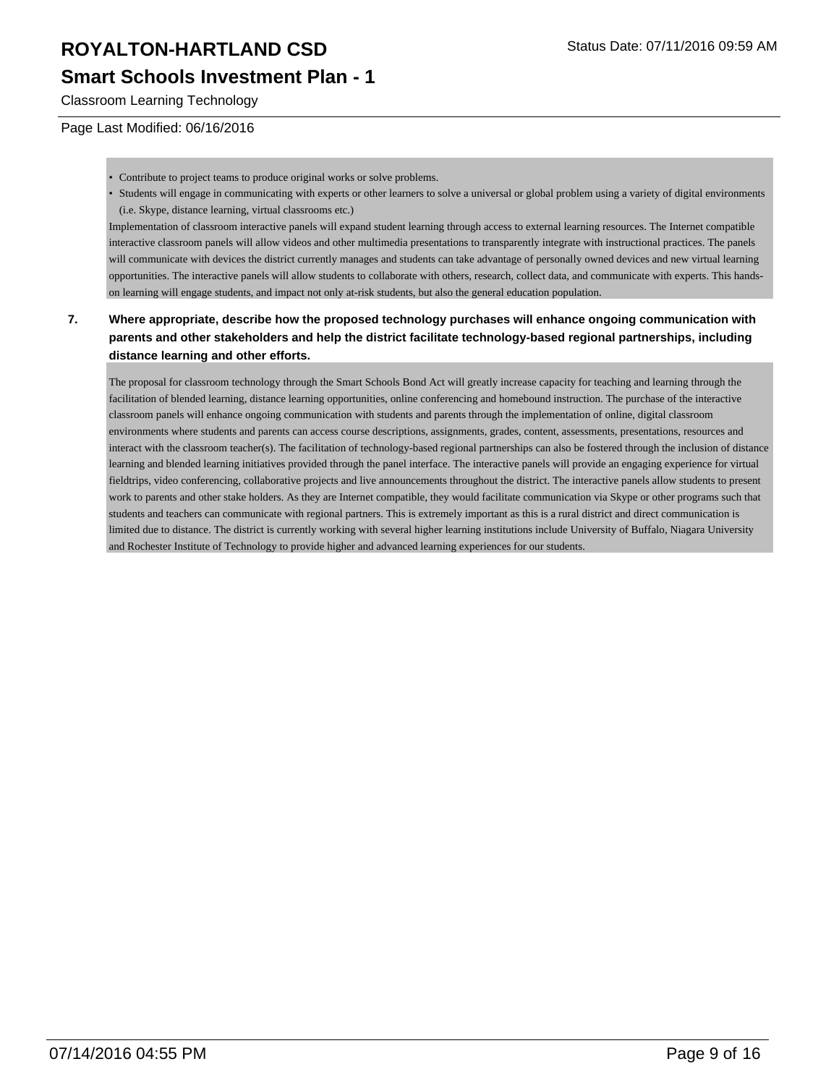## **Smart Schools Investment Plan - 1**

Classroom Learning Technology

#### Page Last Modified: 06/16/2016

• Contribute to project teams to produce original works or solve problems.

• Students will engage in communicating with experts or other learners to solve a universal or global problem using a variety of digital environments (i.e. Skype, distance learning, virtual classrooms etc.)

Implementation of classroom interactive panels will expand student learning through access to external learning resources. The Internet compatible interactive classroom panels will allow videos and other multimedia presentations to transparently integrate with instructional practices. The panels will communicate with devices the district currently manages and students can take advantage of personally owned devices and new virtual learning opportunities. The interactive panels will allow students to collaborate with others, research, collect data, and communicate with experts. This handson learning will engage students, and impact not only at-risk students, but also the general education population.

#### **7. Where appropriate, describe how the proposed technology purchases will enhance ongoing communication with parents and other stakeholders and help the district facilitate technology-based regional partnerships, including distance learning and other efforts.**

The proposal for classroom technology through the Smart Schools Bond Act will greatly increase capacity for teaching and learning through the facilitation of blended learning, distance learning opportunities, online conferencing and homebound instruction. The purchase of the interactive classroom panels will enhance ongoing communication with students and parents through the implementation of online, digital classroom environments where students and parents can access course descriptions, assignments, grades, content, assessments, presentations, resources and interact with the classroom teacher(s). The facilitation of technology-based regional partnerships can also be fostered through the inclusion of distance learning and blended learning initiatives provided through the panel interface. The interactive panels will provide an engaging experience for virtual fieldtrips, video conferencing, collaborative projects and live announcements throughout the district. The interactive panels allow students to present work to parents and other stake holders. As they are Internet compatible, they would facilitate communication via Skype or other programs such that students and teachers can communicate with regional partners. This is extremely important as this is a rural district and direct communication is limited due to distance. The district is currently working with several higher learning institutions include University of Buffalo, Niagara University and Rochester Institute of Technology to provide higher and advanced learning experiences for our students.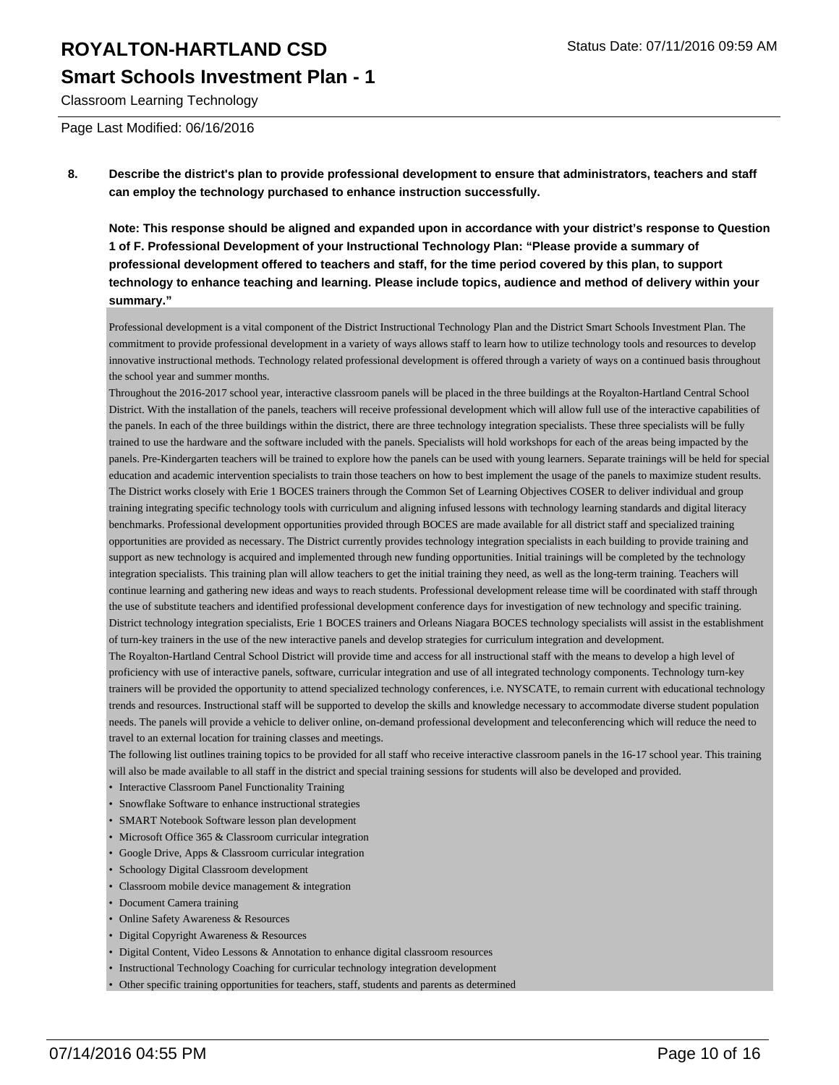## **Smart Schools Investment Plan - 1**

Classroom Learning Technology

Page Last Modified: 06/16/2016

**8. Describe the district's plan to provide professional development to ensure that administrators, teachers and staff can employ the technology purchased to enhance instruction successfully.**

**Note: This response should be aligned and expanded upon in accordance with your district's response to Question 1 of F. Professional Development of your Instructional Technology Plan: "Please provide a summary of professional development offered to teachers and staff, for the time period covered by this plan, to support technology to enhance teaching and learning. Please include topics, audience and method of delivery within your summary."**

Professional development is a vital component of the District Instructional Technology Plan and the District Smart Schools Investment Plan. The commitment to provide professional development in a variety of ways allows staff to learn how to utilize technology tools and resources to develop innovative instructional methods. Technology related professional development is offered through a variety of ways on a continued basis throughout the school year and summer months.

Throughout the 2016-2017 school year, interactive classroom panels will be placed in the three buildings at the Royalton-Hartland Central School District. With the installation of the panels, teachers will receive professional development which will allow full use of the interactive capabilities of the panels. In each of the three buildings within the district, there are three technology integration specialists. These three specialists will be fully trained to use the hardware and the software included with the panels. Specialists will hold workshops for each of the areas being impacted by the panels. Pre-Kindergarten teachers will be trained to explore how the panels can be used with young learners. Separate trainings will be held for special education and academic intervention specialists to train those teachers on how to best implement the usage of the panels to maximize student results. The District works closely with Erie 1 BOCES trainers through the Common Set of Learning Objectives COSER to deliver individual and group training integrating specific technology tools with curriculum and aligning infused lessons with technology learning standards and digital literacy benchmarks. Professional development opportunities provided through BOCES are made available for all district staff and specialized training opportunities are provided as necessary. The District currently provides technology integration specialists in each building to provide training and support as new technology is acquired and implemented through new funding opportunities. Initial trainings will be completed by the technology integration specialists. This training plan will allow teachers to get the initial training they need, as well as the long-term training. Teachers will continue learning and gathering new ideas and ways to reach students. Professional development release time will be coordinated with staff through the use of substitute teachers and identified professional development conference days for investigation of new technology and specific training. District technology integration specialists, Erie 1 BOCES trainers and Orleans Niagara BOCES technology specialists will assist in the establishment of turn-key trainers in the use of the new interactive panels and develop strategies for curriculum integration and development.

The Royalton-Hartland Central School District will provide time and access for all instructional staff with the means to develop a high level of proficiency with use of interactive panels, software, curricular integration and use of all integrated technology components. Technology turn-key trainers will be provided the opportunity to attend specialized technology conferences, i.e. NYSCATE, to remain current with educational technology trends and resources. Instructional staff will be supported to develop the skills and knowledge necessary to accommodate diverse student population needs. The panels will provide a vehicle to deliver online, on-demand professional development and teleconferencing which will reduce the need to travel to an external location for training classes and meetings.

The following list outlines training topics to be provided for all staff who receive interactive classroom panels in the 16-17 school year. This training will also be made available to all staff in the district and special training sessions for students will also be developed and provided.

- Interactive Classroom Panel Functionality Training
- Snowflake Software to enhance instructional strategies
- SMART Notebook Software lesson plan development
- Microsoft Office 365 & Classroom curricular integration
- Google Drive, Apps & Classroom curricular integration
- Schoology Digital Classroom development
- Classroom mobile device management & integration
- Document Camera training
- Online Safety Awareness & Resources
- Digital Copyright Awareness & Resources
- Digital Content, Video Lessons & Annotation to enhance digital classroom resources
- Instructional Technology Coaching for curricular technology integration development
- Other specific training opportunities for teachers, staff, students and parents as determined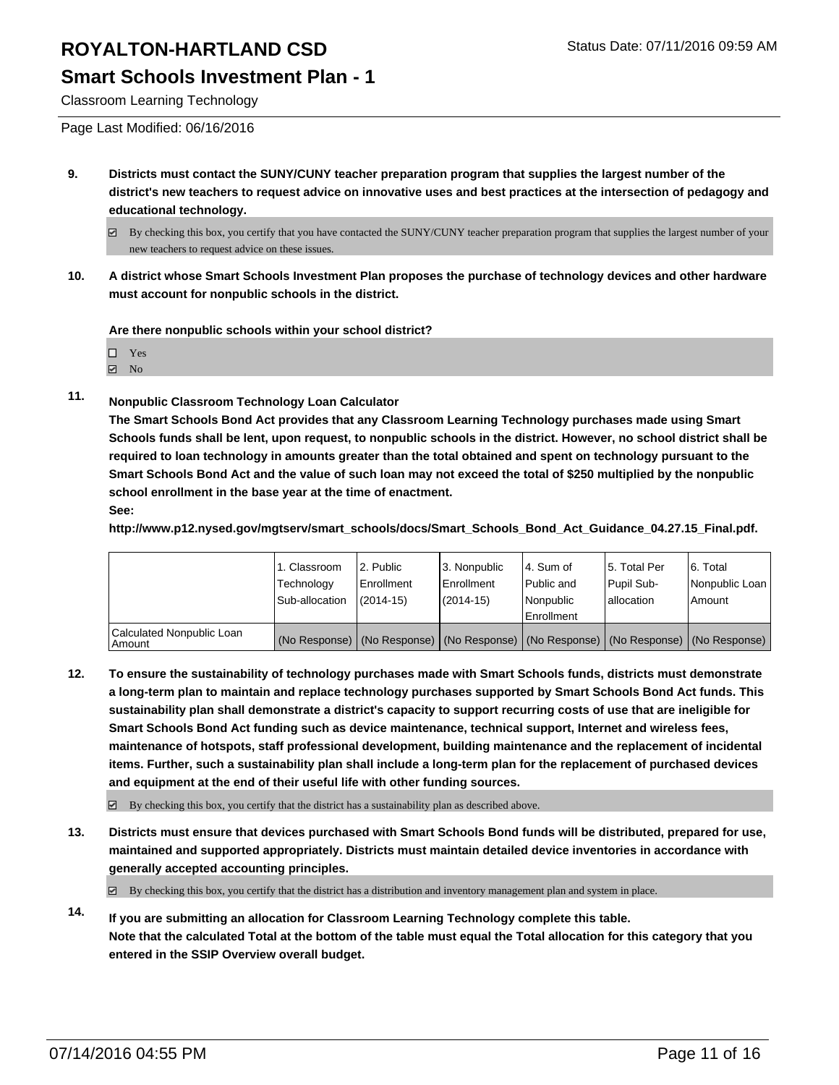### **Smart Schools Investment Plan - 1**

Classroom Learning Technology

Page Last Modified: 06/16/2016

- **9. Districts must contact the SUNY/CUNY teacher preparation program that supplies the largest number of the district's new teachers to request advice on innovative uses and best practices at the intersection of pedagogy and educational technology.**
	- $\boxtimes$  By checking this box, you certify that you have contacted the SUNY/CUNY teacher preparation program that supplies the largest number of your new teachers to request advice on these issues.
- **10. A district whose Smart Schools Investment Plan proposes the purchase of technology devices and other hardware must account for nonpublic schools in the district.**

**Are there nonpublic schools within your school district?**

| $\Box$ Yes        |
|-------------------|
| $\blacksquare$ No |

**11. Nonpublic Classroom Technology Loan Calculator**

**The Smart Schools Bond Act provides that any Classroom Learning Technology purchases made using Smart Schools funds shall be lent, upon request, to nonpublic schools in the district. However, no school district shall be required to loan technology in amounts greater than the total obtained and spent on technology pursuant to the Smart Schools Bond Act and the value of such loan may not exceed the total of \$250 multiplied by the nonpublic school enrollment in the base year at the time of enactment.**

**See:**

**http://www.p12.nysed.gov/mgtserv/smart\_schools/docs/Smart\_Schools\_Bond\_Act\_Guidance\_04.27.15\_Final.pdf.**

|                                       | 1. Classroom   | 2. Public                                                                                     | 3. Nonpublic | l 4. Sum of | l 5. Total Per | 16. Total      |
|---------------------------------------|----------------|-----------------------------------------------------------------------------------------------|--------------|-------------|----------------|----------------|
|                                       | Technology     | Enrollment                                                                                    | Enrollment   | Public and  | Pupil Sub-     | Nonpublic Loan |
|                                       | Sub-allocation | $(2014 - 15)$                                                                                 | $(2014-15)$  | Nonpublic   | lallocation    | Amount         |
|                                       |                |                                                                                               |              | Enrollment  |                |                |
| Calculated Nonpublic Loan<br>  Amount |                | (No Response)   (No Response)   (No Response)   (No Response)   (No Response)   (No Response) |              |             |                |                |

**12. To ensure the sustainability of technology purchases made with Smart Schools funds, districts must demonstrate a long-term plan to maintain and replace technology purchases supported by Smart Schools Bond Act funds. This sustainability plan shall demonstrate a district's capacity to support recurring costs of use that are ineligible for Smart Schools Bond Act funding such as device maintenance, technical support, Internet and wireless fees, maintenance of hotspots, staff professional development, building maintenance and the replacement of incidental items. Further, such a sustainability plan shall include a long-term plan for the replacement of purchased devices and equipment at the end of their useful life with other funding sources.**

 $\boxdot$  By checking this box, you certify that the district has a sustainability plan as described above.

**13. Districts must ensure that devices purchased with Smart Schools Bond funds will be distributed, prepared for use, maintained and supported appropriately. Districts must maintain detailed device inventories in accordance with generally accepted accounting principles.**

 $\boxtimes$  By checking this box, you certify that the district has a distribution and inventory management plan and system in place.

**14. If you are submitting an allocation for Classroom Learning Technology complete this table. Note that the calculated Total at the bottom of the table must equal the Total allocation for this category that you entered in the SSIP Overview overall budget.**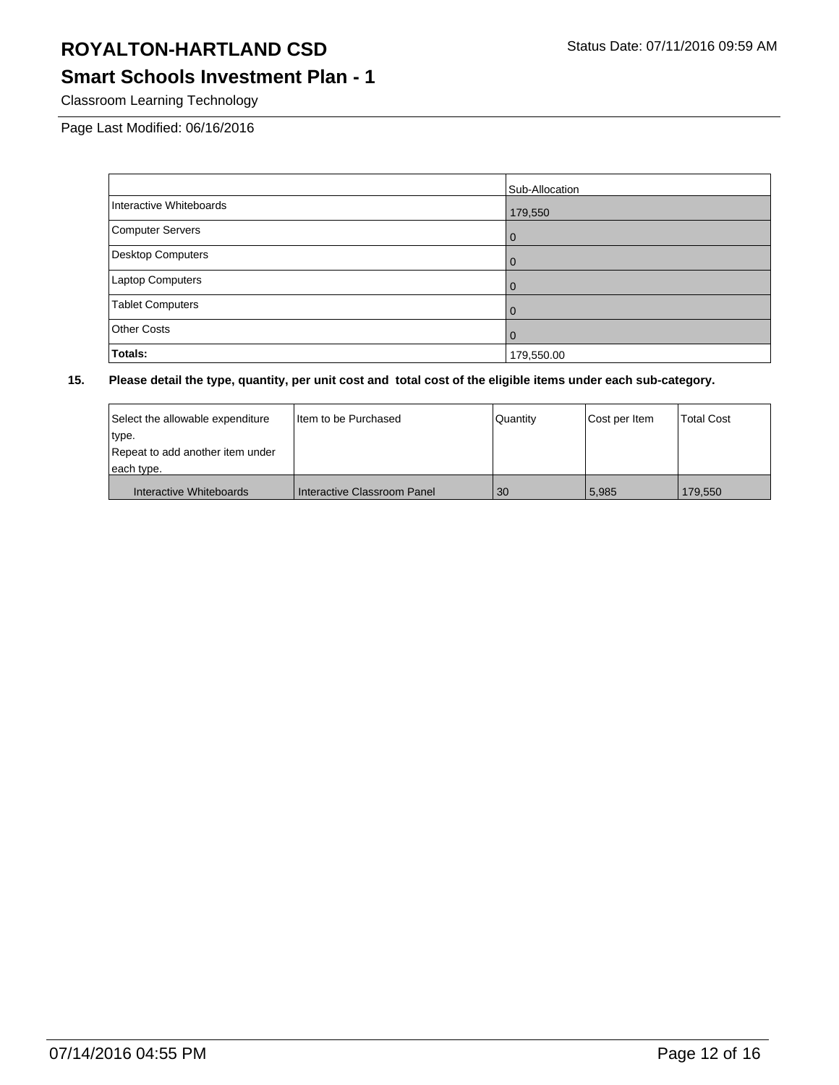## **Smart Schools Investment Plan - 1**

Classroom Learning Technology

Page Last Modified: 06/16/2016

|                          | Sub-Allocation |
|--------------------------|----------------|
| Interactive Whiteboards  | 179,550        |
| <b>Computer Servers</b>  | $\overline{0}$ |
| <b>Desktop Computers</b> | $\overline{0}$ |
| Laptop Computers         | $\Omega$       |
| <b>Tablet Computers</b>  | $\Omega$       |
| <b>Other Costs</b>       | $\Omega$       |
| Totals:                  | 179,550.00     |

| Select the allowable expenditure | I Item to be Purchased      | <b>Quantity</b> | Cost per Item | <b>Total Cost</b> |
|----------------------------------|-----------------------------|-----------------|---------------|-------------------|
| type.                            |                             |                 |               |                   |
| Repeat to add another item under |                             |                 |               |                   |
| each type.                       |                             |                 |               |                   |
| Interactive Whiteboards          | Interactive Classroom Panel | 30              | 5.985         | 179.550           |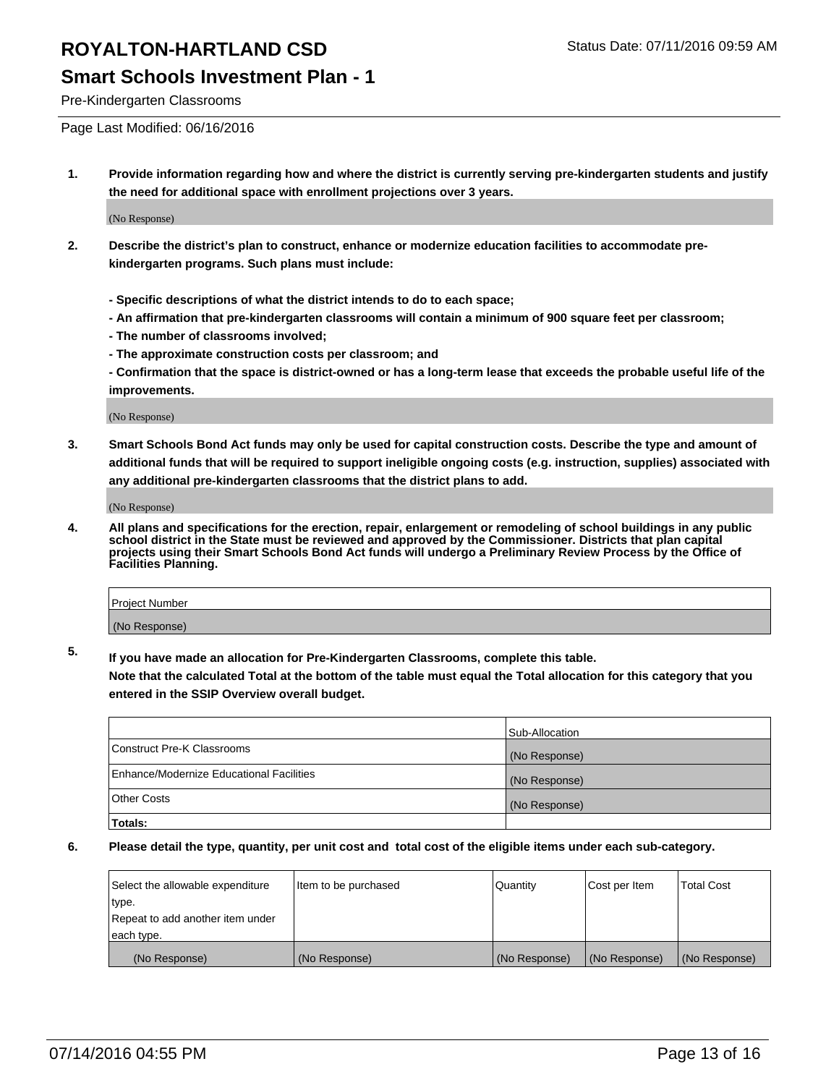## **Smart Schools Investment Plan - 1**

Pre-Kindergarten Classrooms

Page Last Modified: 06/16/2016

**1. Provide information regarding how and where the district is currently serving pre-kindergarten students and justify the need for additional space with enrollment projections over 3 years.**

(No Response)

- **2. Describe the district's plan to construct, enhance or modernize education facilities to accommodate prekindergarten programs. Such plans must include:**
	- **Specific descriptions of what the district intends to do to each space;**
	- **An affirmation that pre-kindergarten classrooms will contain a minimum of 900 square feet per classroom;**
	- **The number of classrooms involved;**
	- **The approximate construction costs per classroom; and**
	- **Confirmation that the space is district-owned or has a long-term lease that exceeds the probable useful life of the improvements.**

(No Response)

**3. Smart Schools Bond Act funds may only be used for capital construction costs. Describe the type and amount of additional funds that will be required to support ineligible ongoing costs (e.g. instruction, supplies) associated with any additional pre-kindergarten classrooms that the district plans to add.**

(No Response)

**4. All plans and specifications for the erection, repair, enlargement or remodeling of school buildings in any public school district in the State must be reviewed and approved by the Commissioner. Districts that plan capital projects using their Smart Schools Bond Act funds will undergo a Preliminary Review Process by the Office of Facilities Planning.**

| Project Number |  |
|----------------|--|
| (No Response)  |  |

**5. If you have made an allocation for Pre-Kindergarten Classrooms, complete this table.**

**Note that the calculated Total at the bottom of the table must equal the Total allocation for this category that you entered in the SSIP Overview overall budget.**

|                                          | Sub-Allocation |
|------------------------------------------|----------------|
| Construct Pre-K Classrooms               | (No Response)  |
| Enhance/Modernize Educational Facilities | (No Response)  |
| <b>Other Costs</b>                       | (No Response)  |
| Totals:                                  |                |

| Select the allowable expenditure | litem to be purchased | Quantity      | Cost per Item | <b>Total Cost</b> |
|----------------------------------|-----------------------|---------------|---------------|-------------------|
| type.                            |                       |               |               |                   |
| Repeat to add another item under |                       |               |               |                   |
| each type.                       |                       |               |               |                   |
| (No Response)                    | (No Response)         | (No Response) | (No Response) | (No Response)     |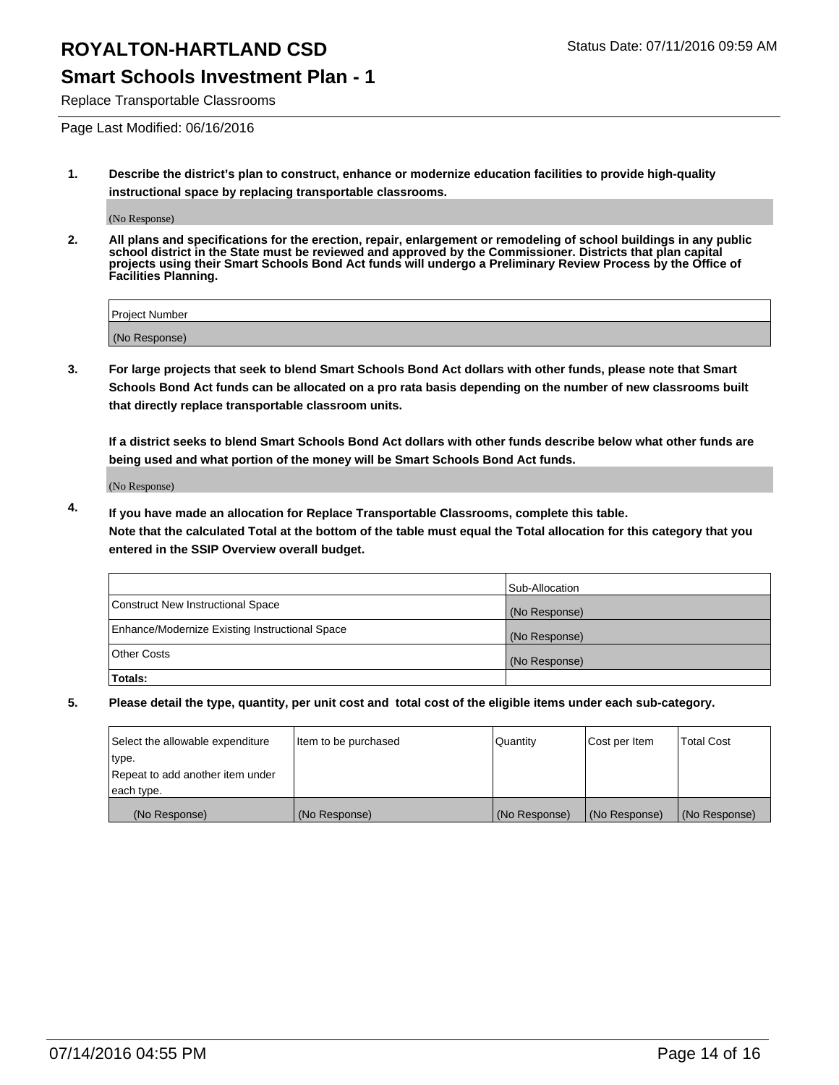## **Smart Schools Investment Plan - 1**

Replace Transportable Classrooms

Page Last Modified: 06/16/2016

**1. Describe the district's plan to construct, enhance or modernize education facilities to provide high-quality instructional space by replacing transportable classrooms.**

(No Response)

**2. All plans and specifications for the erection, repair, enlargement or remodeling of school buildings in any public school district in the State must be reviewed and approved by the Commissioner. Districts that plan capital projects using their Smart Schools Bond Act funds will undergo a Preliminary Review Process by the Office of Facilities Planning.**

| <b>Project Number</b> |  |
|-----------------------|--|
| (No Response)         |  |

**3. For large projects that seek to blend Smart Schools Bond Act dollars with other funds, please note that Smart Schools Bond Act funds can be allocated on a pro rata basis depending on the number of new classrooms built that directly replace transportable classroom units.**

**If a district seeks to blend Smart Schools Bond Act dollars with other funds describe below what other funds are being used and what portion of the money will be Smart Schools Bond Act funds.**

(No Response)

**4. If you have made an allocation for Replace Transportable Classrooms, complete this table. Note that the calculated Total at the bottom of the table must equal the Total allocation for this category that you entered in the SSIP Overview overall budget.**

|                                                | Sub-Allocation |
|------------------------------------------------|----------------|
| Construct New Instructional Space              | (No Response)  |
| Enhance/Modernize Existing Instructional Space | (No Response)  |
| Other Costs                                    | (No Response)  |
| Totals:                                        |                |

| Select the allowable expenditure | Item to be purchased | Quantity      | Cost per Item | <b>Total Cost</b> |
|----------------------------------|----------------------|---------------|---------------|-------------------|
| type.                            |                      |               |               |                   |
| Repeat to add another item under |                      |               |               |                   |
| each type.                       |                      |               |               |                   |
| (No Response)                    | (No Response)        | (No Response) | (No Response) | (No Response)     |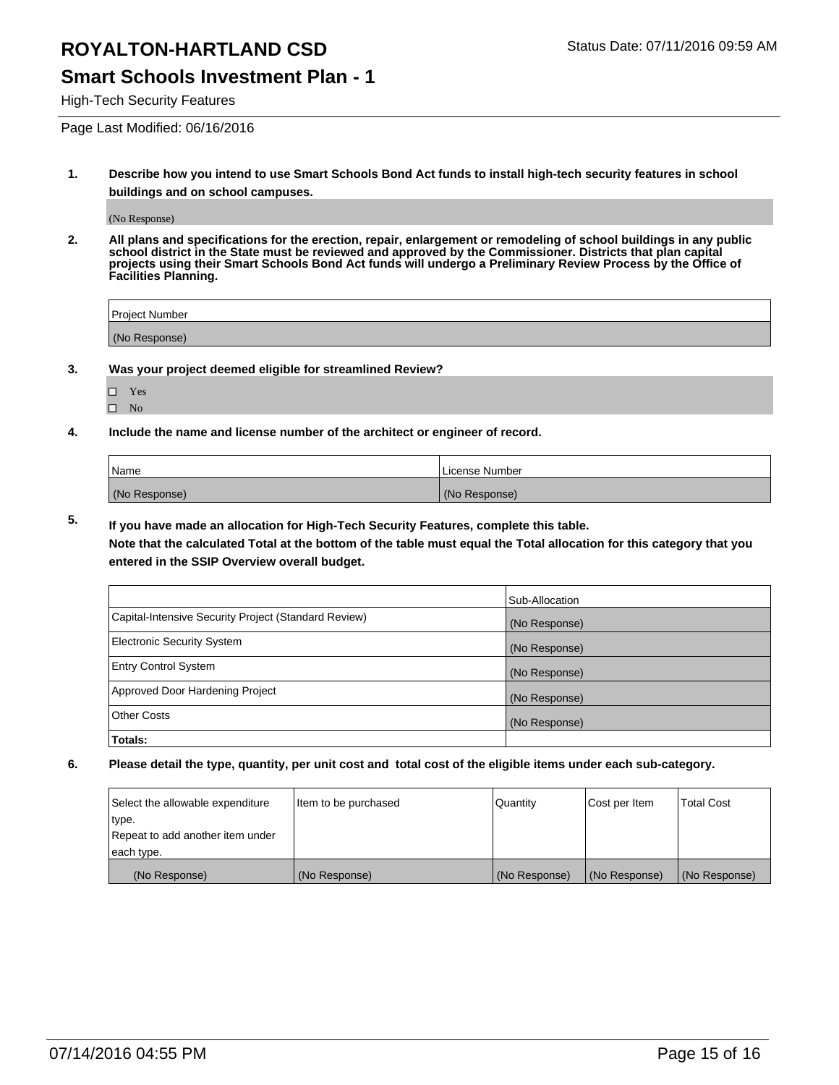### **Smart Schools Investment Plan - 1**

High-Tech Security Features

Page Last Modified: 06/16/2016

**1. Describe how you intend to use Smart Schools Bond Act funds to install high-tech security features in school buildings and on school campuses.**

(No Response)

**2. All plans and specifications for the erection, repair, enlargement or remodeling of school buildings in any public school district in the State must be reviewed and approved by the Commissioner. Districts that plan capital projects using their Smart Schools Bond Act funds will undergo a Preliminary Review Process by the Office of Facilities Planning.** 

| Project Number |  |
|----------------|--|
| (No Response)  |  |

**3. Was your project deemed eligible for streamlined Review?**

□ Yes  $\hfill \square$  No

**4. Include the name and license number of the architect or engineer of record.**

| Name          | License Number |
|---------------|----------------|
| (No Response) | (No Response)  |

**5. If you have made an allocation for High-Tech Security Features, complete this table.**

**Note that the calculated Total at the bottom of the table must equal the Total allocation for this category that you entered in the SSIP Overview overall budget.**

|                                                      | Sub-Allocation |
|------------------------------------------------------|----------------|
| Capital-Intensive Security Project (Standard Review) | (No Response)  |
| <b>Electronic Security System</b>                    | (No Response)  |
| <b>Entry Control System</b>                          | (No Response)  |
| Approved Door Hardening Project                      | (No Response)  |
| <b>Other Costs</b>                                   | (No Response)  |
| Totals:                                              |                |

| Select the allowable expenditure | litem to be purchased | Quantity      | Cost per Item | <b>Total Cost</b> |
|----------------------------------|-----------------------|---------------|---------------|-------------------|
| type.                            |                       |               |               |                   |
| Repeat to add another item under |                       |               |               |                   |
| each type.                       |                       |               |               |                   |
| (No Response)                    | (No Response)         | (No Response) | (No Response) | (No Response)     |